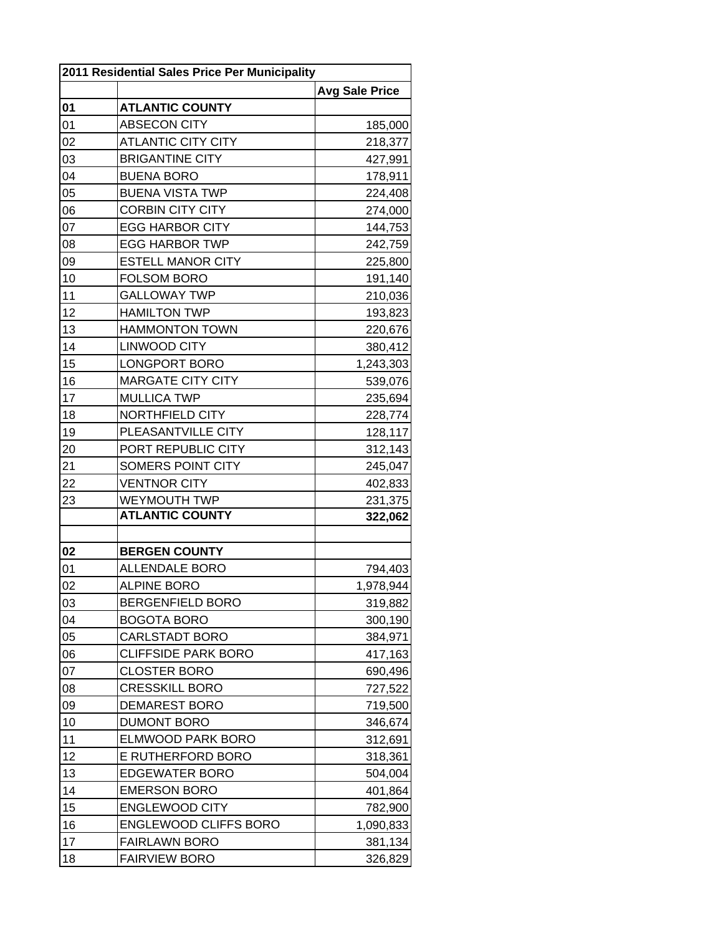| 2011 Residential Sales Price Per Municipality |                              |                       |  |
|-----------------------------------------------|------------------------------|-----------------------|--|
|                                               |                              | <b>Avg Sale Price</b> |  |
| 01                                            | <b>ATLANTIC COUNTY</b>       |                       |  |
| 01                                            | <b>ABSECON CITY</b>          | 185,000               |  |
| 02                                            | <b>ATLANTIC CITY CITY</b>    | 218,377               |  |
| 03                                            | <b>BRIGANTINE CITY</b>       | 427,991               |  |
| 04                                            | <b>BUENA BORO</b>            | 178,911               |  |
| 05                                            | <b>BUENA VISTA TWP</b>       | 224,408               |  |
| 06                                            | <b>CORBIN CITY CITY</b>      | 274,000               |  |
| 07                                            | <b>EGG HARBOR CITY</b>       | 144,753               |  |
| 08                                            | <b>EGG HARBOR TWP</b>        | 242,759               |  |
| 09                                            | <b>ESTELL MANOR CITY</b>     | 225,800               |  |
| 10                                            | <b>FOLSOM BORO</b>           | 191,140               |  |
| 11                                            | <b>GALLOWAY TWP</b>          | 210,036               |  |
| 12                                            | <b>HAMILTON TWP</b>          | 193,823               |  |
| 13                                            | <b>HAMMONTON TOWN</b>        | 220,676               |  |
| 14                                            | <b>LINWOOD CITY</b>          | 380,412               |  |
| 15                                            | LONGPORT BORO                | 1,243,303             |  |
| 16                                            | <b>MARGATE CITY CITY</b>     | 539,076               |  |
| 17                                            | <b>MULLICA TWP</b>           | 235,694               |  |
| 18                                            | NORTHFIELD CITY              | 228,774               |  |
| 19                                            | PLEASANTVILLE CITY           | 128,117               |  |
| 20                                            | PORT REPUBLIC CITY           | 312,143               |  |
| 21                                            | SOMERS POINT CITY            | 245,047               |  |
| 22                                            | <b>VENTNOR CITY</b>          | 402,833               |  |
| 23                                            | <b>WEYMOUTH TWP</b>          | 231,375               |  |
|                                               | <b>ATLANTIC COUNTY</b>       | 322,062               |  |
|                                               |                              |                       |  |
| 02                                            | <b>BERGEN COUNTY</b>         |                       |  |
| 01                                            | <b>ALLENDALE BORO</b>        | 794,403               |  |
| 02                                            | <b>ALPINE BORO</b>           | 1,978,944             |  |
| 03                                            | <b>BERGENFIELD BORO</b>      | 319,882               |  |
| 04                                            | <b>BOGOTA BORO</b>           | 300,190               |  |
| 05                                            | <b>CARLSTADT BORO</b>        | 384,971               |  |
| 06                                            | <b>CLIFFSIDE PARK BORO</b>   | 417,163               |  |
| 07                                            | <b>CLOSTER BORO</b>          | 690,496               |  |
| 08                                            | CRESSKILL BORO               | 727,522               |  |
| 09                                            | <b>DEMAREST BORO</b>         | 719,500               |  |
| 10                                            | <b>DUMONT BORO</b>           | 346,674               |  |
| 11                                            | <b>ELMWOOD PARK BORO</b>     | 312,691               |  |
| 12                                            | E RUTHERFORD BORO            | 318,361               |  |
| 13                                            | <b>EDGEWATER BORO</b>        | 504,004               |  |
| 14                                            | <b>EMERSON BORO</b>          | 401,864               |  |
| 15                                            | <b>ENGLEWOOD CITY</b>        | 782,900               |  |
| 16                                            | <b>ENGLEWOOD CLIFFS BORO</b> | 1,090,833             |  |
| 17                                            | <b>FAIRLAWN BORO</b>         | 381,134               |  |
| 18                                            | <b>FAIRVIEW BORO</b>         | 326,829               |  |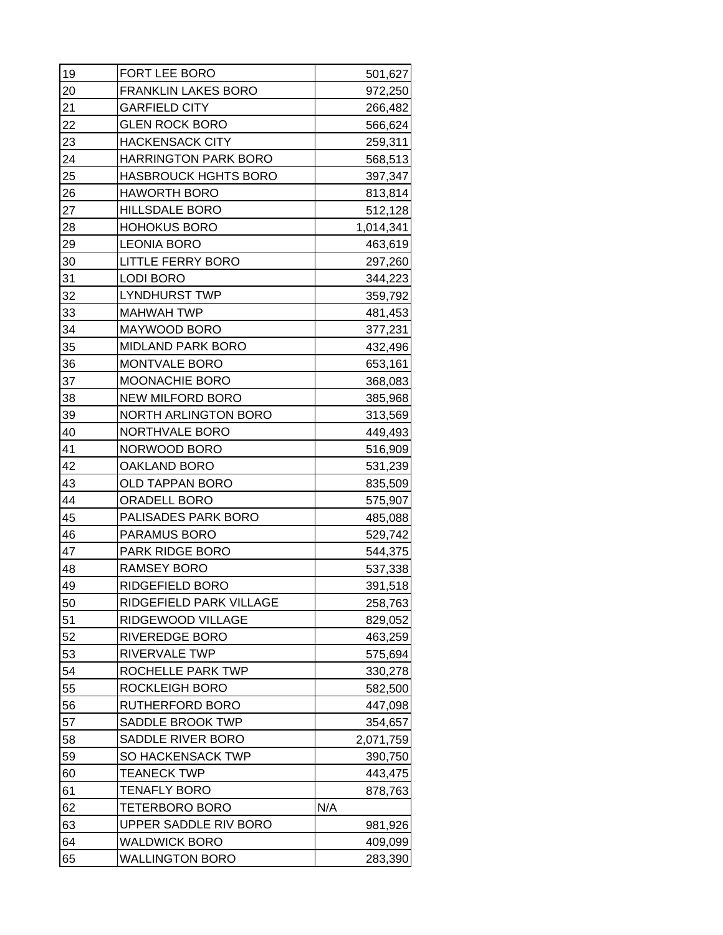| 19 | FORT LEE BORO               | 501,627   |
|----|-----------------------------|-----------|
| 20 | <b>FRANKLIN LAKES BORO</b>  | 972,250   |
| 21 | <b>GARFIELD CITY</b>        | 266,482   |
| 22 | <b>GLEN ROCK BORO</b>       | 566,624   |
| 23 | <b>HACKENSACK CITY</b>      | 259,311   |
| 24 | <b>HARRINGTON PARK BORO</b> | 568,513   |
| 25 | <b>HASBROUCK HGHTS BORO</b> | 397,347   |
| 26 | <b>HAWORTH BORO</b>         | 813,814   |
| 27 | <b>HILLSDALE BORO</b>       | 512,128   |
| 28 | <b>HOHOKUS BORO</b>         | 1,014,341 |
| 29 | <b>LEONIA BORO</b>          | 463,619   |
| 30 | <b>LITTLE FERRY BORO</b>    | 297,260   |
| 31 | <b>LODI BORO</b>            | 344,223   |
| 32 | <b>LYNDHURST TWP</b>        | 359,792   |
| 33 | <b>MAHWAH TWP</b>           | 481,453   |
| 34 | MAYWOOD BORO                | 377,231   |
| 35 | <b>MIDLAND PARK BORO</b>    | 432,496   |
| 36 | MONTVALE BORO               | 653,161   |
| 37 | <b>MOONACHIE BORO</b>       | 368,083   |
| 38 | NEW MILFORD BORO            | 385,968   |
| 39 | <b>NORTH ARLINGTON BORO</b> | 313,569   |
| 40 | NORTHVALE BORO              | 449,493   |
| 41 | NORWOOD BORO                | 516,909   |
| 42 | OAKLAND BORO                | 531,239   |
| 43 | OLD TAPPAN BORO             | 835,509   |
| 44 | ORADELL BORO                | 575,907   |
| 45 | PALISADES PARK BORO         | 485,088   |
| 46 | PARAMUS BORO                | 529,742   |
| 47 | PARK RIDGE BORO             | 544,375   |
| 48 | <b>RAMSEY BORO</b>          | 537,338   |
| 49 | RIDGEFIELD BORO             | 391,518   |
| 50 | RIDGEFIELD PARK VILLAGE     | 258,763   |
| 51 | RIDGEWOOD VILLAGE           | 829,052   |
| 52 | <b>RIVEREDGE BORO</b>       | 463,259   |
| 53 | RIVERVALE TWP               | 575,694   |
| 54 | ROCHELLE PARK TWP           | 330,278   |
| 55 | <b>ROCKLEIGH BORO</b>       | 582,500   |
| 56 | RUTHERFORD BORO             | 447,098   |
| 57 | SADDLE BROOK TWP            | 354,657   |
| 58 | SADDLE RIVER BORO           | 2,071,759 |
| 59 | SO HACKENSACK TWP           | 390,750   |
| 60 | <b>TEANECK TWP</b>          | 443,475   |
| 61 | <b>TENAFLY BORO</b>         | 878,763   |
| 62 | TETERBORO BORO              | N/A       |
| 63 | UPPER SADDLE RIV BORO       | 981,926   |
| 64 | <b>WALDWICK BORO</b>        | 409,099   |
| 65 | <b>WALLINGTON BORO</b>      | 283,390   |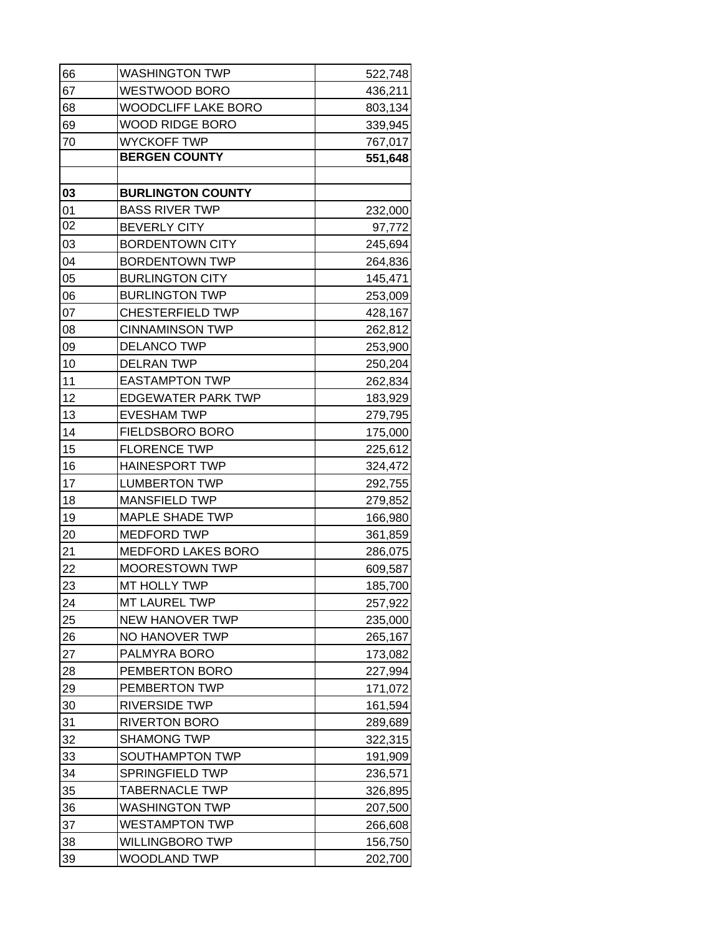| 66 | <b>WASHINGTON TWP</b>      | 522,748 |
|----|----------------------------|---------|
| 67 | WESTWOOD BORO              | 436,211 |
| 68 | <b>WOODCLIFF LAKE BORO</b> | 803,134 |
| 69 | <b>WOOD RIDGE BORO</b>     | 339,945 |
| 70 | <b>WYCKOFF TWP</b>         | 767,017 |
|    | <b>BERGEN COUNTY</b>       | 551,648 |
|    |                            |         |
| 03 | <b>BURLINGTON COUNTY</b>   |         |
| 01 | <b>BASS RIVER TWP</b>      | 232,000 |
| 02 | <b>BEVERLY CITY</b>        | 97,772  |
| 03 | <b>BORDENTOWN CITY</b>     | 245,694 |
| 04 | <b>BORDENTOWN TWP</b>      | 264,836 |
| 05 | <b>BURLINGTON CITY</b>     | 145,471 |
| 06 | <b>BURLINGTON TWP</b>      | 253,009 |
| 07 | <b>CHESTERFIELD TWP</b>    | 428,167 |
| 08 | <b>CINNAMINSON TWP</b>     | 262,812 |
| 09 | <b>DELANCO TWP</b>         | 253,900 |
| 10 | <b>DELRAN TWP</b>          | 250,204 |
| 11 | <b>EASTAMPTON TWP</b>      | 262,834 |
| 12 | <b>EDGEWATER PARK TWP</b>  | 183,929 |
| 13 | <b>EVESHAM TWP</b>         | 279,795 |
| 14 | FIELDSBORO BORO            | 175,000 |
| 15 | <b>FLORENCE TWP</b>        | 225,612 |
| 16 | <b>HAINESPORT TWP</b>      | 324,472 |
| 17 | <b>LUMBERTON TWP</b>       | 292,755 |
| 18 | <b>MANSFIELD TWP</b>       | 279,852 |
| 19 | <b>MAPLE SHADE TWP</b>     | 166,980 |
| 20 | <b>MEDFORD TWP</b>         | 361,859 |
| 21 | <b>MEDFORD LAKES BORO</b>  | 286,075 |
| 22 | <b>MOORESTOWN TWP</b>      | 609,587 |
| 23 | MT HOLLY TWP               | 185,700 |
| 24 | MT LAUREL TWP              | 257,922 |
| 25 | <b>NEW HANOVER TWP</b>     | 235,000 |
| 26 | NO HANOVER TWP             | 265,167 |
| 27 | PALMYRA BORO               | 173,082 |
| 28 | PEMBERTON BORO             | 227,994 |
| 29 | PEMBERTON TWP              | 171,072 |
| 30 | <b>RIVERSIDE TWP</b>       | 161,594 |
| 31 | <b>RIVERTON BORO</b>       | 289,689 |
| 32 | <b>SHAMONG TWP</b>         | 322,315 |
| 33 | SOUTHAMPTON TWP            | 191,909 |
| 34 | SPRINGFIELD TWP            | 236,571 |
| 35 | <b>TABERNACLE TWP</b>      | 326,895 |
| 36 | WASHINGTON TWP             | 207,500 |
| 37 | <b>WESTAMPTON TWP</b>      | 266,608 |
| 38 | <b>WILLINGBORO TWP</b>     | 156,750 |
| 39 | <b>WOODLAND TWP</b>        | 202,700 |
|    |                            |         |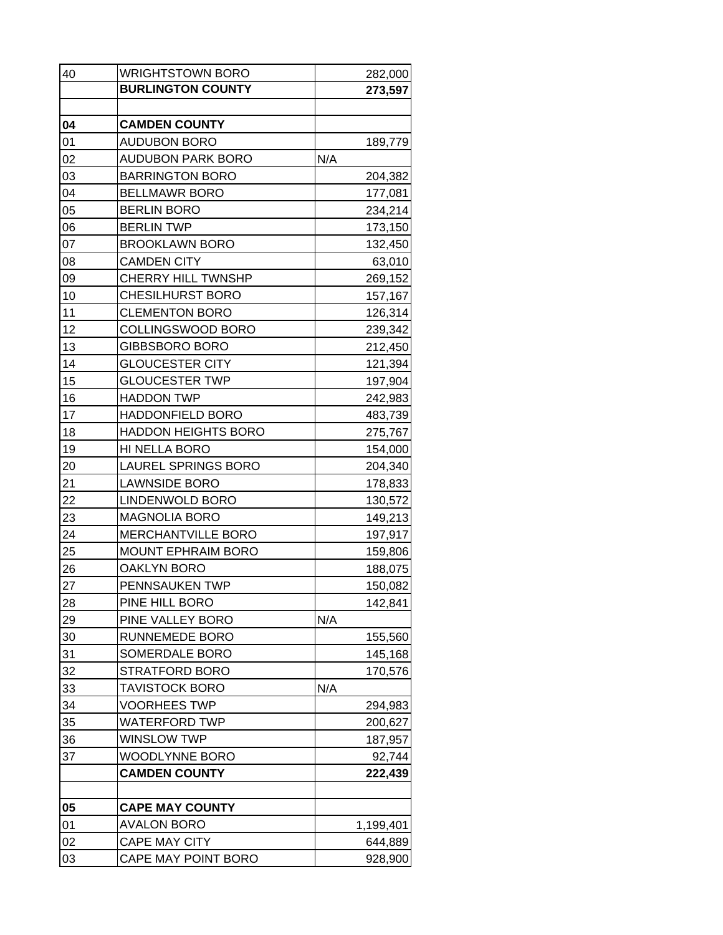| 40 | <b>WRIGHTSTOWN BORO</b>    | 282,000   |
|----|----------------------------|-----------|
|    | <b>BURLINGTON COUNTY</b>   | 273,597   |
|    |                            |           |
| 04 | <b>CAMDEN COUNTY</b>       |           |
| 01 | <b>AUDUBON BORO</b>        | 189,779   |
| 02 | <b>AUDUBON PARK BORO</b>   | N/A       |
| 03 | <b>BARRINGTON BORO</b>     | 204,382   |
| 04 | <b>BELLMAWR BORO</b>       | 177,081   |
| 05 | <b>BERLIN BORO</b>         | 234,214   |
| 06 | <b>BERLIN TWP</b>          | 173,150   |
| 07 | <b>BROOKLAWN BORO</b>      | 132,450   |
| 08 | <b>CAMDEN CITY</b>         | 63,010    |
| 09 | <b>CHERRY HILL TWNSHP</b>  | 269,152   |
| 10 | <b>CHESILHURST BORO</b>    | 157,167   |
| 11 | <b>CLEMENTON BORO</b>      | 126,314   |
| 12 | COLLINGSWOOD BORO          | 239,342   |
| 13 | GIBBSBORO BORO             | 212,450   |
| 14 | <b>GLOUCESTER CITY</b>     | 121,394   |
| 15 | <b>GLOUCESTER TWP</b>      | 197,904   |
| 16 | <b>HADDON TWP</b>          | 242,983   |
| 17 | <b>HADDONFIELD BORO</b>    | 483,739   |
| 18 | <b>HADDON HEIGHTS BORO</b> | 275,767   |
| 19 | HI NELLA BORO              | 154,000   |
| 20 | LAUREL SPRINGS BORO        | 204,340   |
| 21 | <b>LAWNSIDE BORO</b>       | 178,833   |
| 22 | LINDENWOLD BORO            | 130,572   |
| 23 | <b>MAGNOLIA BORO</b>       | 149,213   |
| 24 | <b>MERCHANTVILLE BORO</b>  | 197,917   |
| 25 | <b>MOUNT EPHRAIM BORO</b>  | 159,806   |
| 26 | <b>OAKLYN BORO</b>         | 188,075   |
| 27 | PENNSAUKEN TWP             | 150,082   |
| 28 | PINE HILL BORO             | 142,841   |
| 29 | PINE VALLEY BORO           | N/A       |
| 30 | RUNNEMEDE BORO             | 155,560   |
| 31 | SOMERDALE BORO             | 145,168   |
| 32 | STRATFORD BORO             | 170,576   |
| 33 | TAVISTOCK BORO             | N/A       |
| 34 | <b>VOORHEES TWP</b>        | 294,983   |
| 35 | WATERFORD TWP              | 200,627   |
| 36 | <b>WINSLOW TWP</b>         | 187,957   |
| 37 | WOODLYNNE BORO             | 92,744    |
|    | <b>CAMDEN COUNTY</b>       | 222,439   |
|    |                            |           |
| 05 | <b>CAPE MAY COUNTY</b>     |           |
| 01 | AVALON BORO                | 1,199,401 |
| 02 | <b>CAPE MAY CITY</b>       | 644,889   |
| 03 | CAPE MAY POINT BORO        | 928,900   |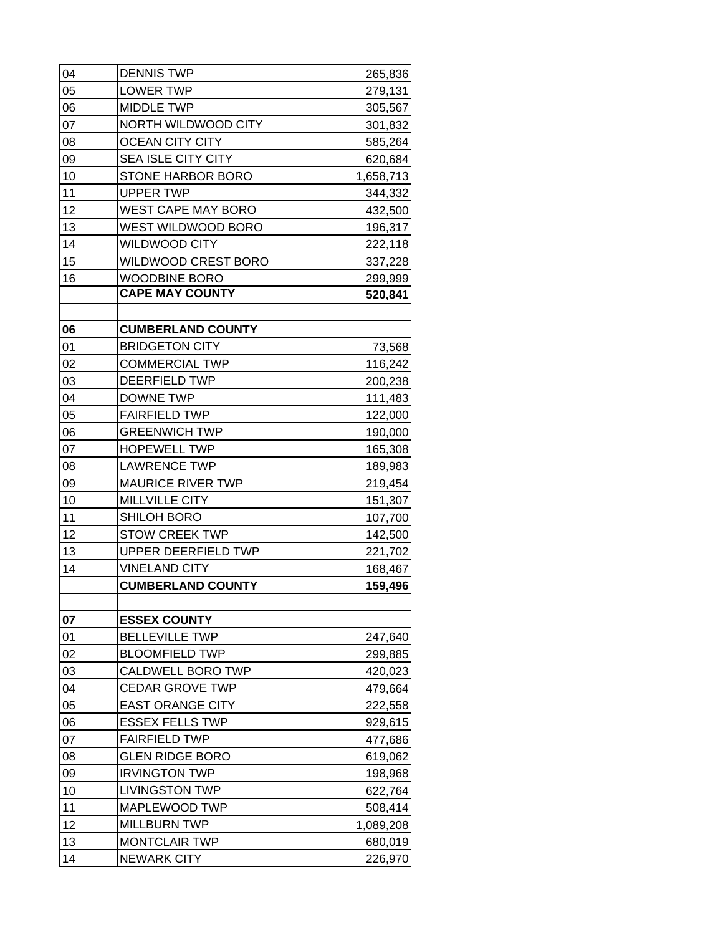| 04 | <b>DENNIS TWP</b>          | 265,836   |
|----|----------------------------|-----------|
| 05 | <b>LOWER TWP</b>           | 279,131   |
| 06 | <b>MIDDLE TWP</b>          | 305,567   |
| 07 | NORTH WILDWOOD CITY        | 301,832   |
| 08 | <b>OCEAN CITY CITY</b>     | 585,264   |
| 09 | <b>SEA ISLE CITY CITY</b>  | 620,684   |
| 10 | STONE HARBOR BORO          | 1,658,713 |
| 11 | <b>UPPER TWP</b>           | 344,332   |
| 12 | <b>WEST CAPE MAY BORO</b>  | 432,500   |
| 13 | WEST WILDWOOD BORO         | 196,317   |
| 14 | <b>WILDWOOD CITY</b>       | 222,118   |
| 15 | WILDWOOD CREST BORO        | 337,228   |
| 16 | <b>WOODBINE BORO</b>       | 299,999   |
|    | <b>CAPE MAY COUNTY</b>     | 520,841   |
|    |                            |           |
| 06 | <b>CUMBERLAND COUNTY</b>   |           |
| 01 | <b>BRIDGETON CITY</b>      | 73,568    |
| 02 | <b>COMMERCIAL TWP</b>      | 116,242   |
| 03 | DEERFIELD TWP              | 200,238   |
| 04 | <b>DOWNE TWP</b>           | 111,483   |
| 05 | <b>FAIRFIELD TWP</b>       | 122,000   |
| 06 | <b>GREENWICH TWP</b>       | 190,000   |
| 07 | <b>HOPEWELL TWP</b>        | 165,308   |
| 08 | <b>LAWRENCE TWP</b>        | 189,983   |
| 09 | <b>MAURICE RIVER TWP</b>   | 219,454   |
| 10 | <b>MILLVILLE CITY</b>      | 151,307   |
| 11 | <b>SHILOH BORO</b>         | 107,700   |
| 12 | <b>STOW CREEK TWP</b>      | 142,500   |
| 13 | <b>UPPER DEERFIELD TWP</b> | 221,702   |
| 14 | <b>VINELAND CITY</b>       | 168,467   |
|    | <b>CUMBERLAND COUNTY</b>   | 159,496   |
|    |                            |           |
| 07 | <b>ESSEX COUNTY</b>        |           |
| 01 | <b>BELLEVILLE TWP</b>      | 247,640   |
| 02 | <b>BLOOMFIELD TWP</b>      | 299,885   |
| 03 | <b>CALDWELL BORO TWP</b>   | 420,023   |
| 04 | <b>CEDAR GROVE TWP</b>     | 479,664   |
| 05 | <b>EAST ORANGE CITY</b>    | 222,558   |
| 06 | <b>ESSEX FELLS TWP</b>     | 929,615   |
| 07 | <b>FAIRFIELD TWP</b>       | 477,686   |
| 08 | <b>GLEN RIDGE BORO</b>     | 619,062   |
| 09 | <b>IRVINGTON TWP</b>       | 198,968   |
| 10 | <b>LIVINGSTON TWP</b>      | 622,764   |
| 11 | MAPLEWOOD TWP              | 508,414   |
| 12 | <b>MILLBURN TWP</b>        | 1,089,208 |
| 13 | <b>MONTCLAIR TWP</b>       | 680,019   |
| 14 | <b>NEWARK CITY</b>         | 226,970   |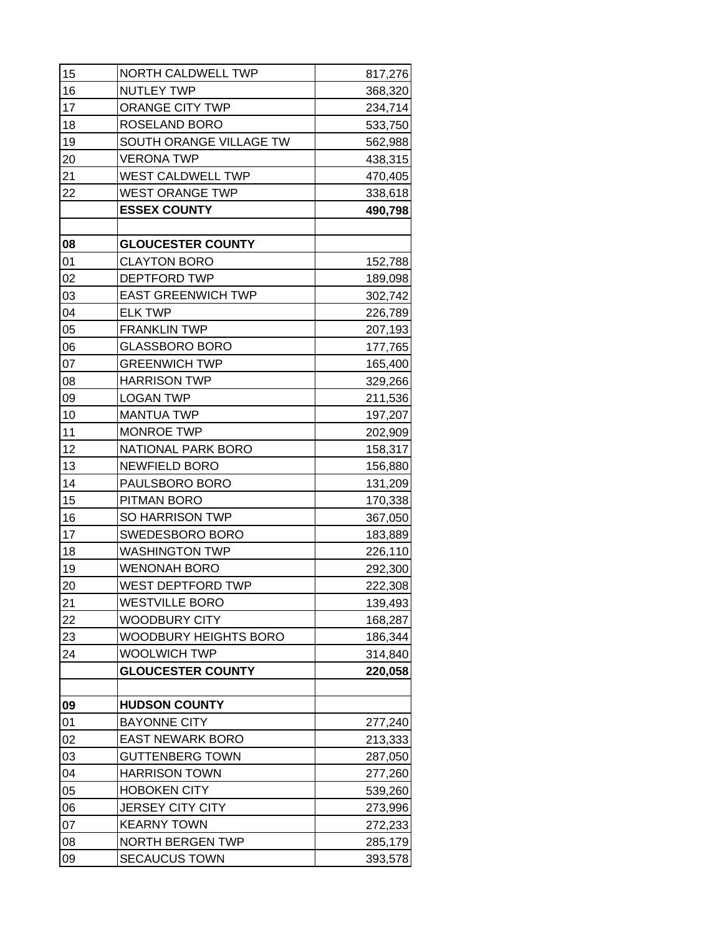| 16<br><b>NUTLEY TWP</b><br>368,320<br>17<br>ORANGE CITY TWP<br>234,714<br>18<br>ROSELAND BORO<br>533,750<br>19<br>SOUTH ORANGE VILLAGE TW<br>562,988<br>20<br><b>VERONA TWP</b><br>438,315<br>WEST CALDWELL TWP<br>21<br>470,405<br>22<br><b>WEST ORANGE TWP</b><br>338,618<br><b>ESSEX COUNTY</b><br>490,798<br>08<br><b>GLOUCESTER COUNTY</b><br>01<br><b>CLAYTON BORO</b><br>152,788<br>02<br>DEPTFORD TWP<br>189,098<br>03<br><b>EAST GREENWICH TWP</b><br>302,742<br>04<br><b>ELK TWP</b><br>226,789<br>05<br><b>FRANKLIN TWP</b><br>207,193<br>06<br><b>GLASSBORO BORO</b><br>177,765<br>07<br><b>GREENWICH TWP</b><br>165,400<br>08<br><b>HARRISON TWP</b><br>329,266<br>09<br><b>LOGAN TWP</b><br>211,536<br>10<br><b>MANTUA TWP</b><br>197,207<br>11<br><b>MONROE TWP</b><br>202,909<br>12<br><b>NATIONAL PARK BORO</b><br>158,317<br>13<br><b>NEWFIELD BORO</b><br>156,880<br>14<br>PAULSBORO BORO<br>131,209<br>15<br>PITMAN BORO<br>170,338<br>16<br><b>SO HARRISON TWP</b><br>367,050<br>17<br>SWEDESBORO BORO<br>183,889<br>18<br><b>WASHINGTON TWP</b><br>226,110<br>19<br><b>WENONAH BORO</b><br>292,300<br>WEST DEPTFORD TWP<br>20<br>222,308<br><b>WESTVILLE BORO</b><br>139,493<br>21<br>22<br><b>WOODBURY CITY</b><br>168,287<br>23<br>WOODBURY HEIGHTS BORO<br>186,344<br>24<br>WOOLWICH TWP<br>314,840<br><b>GLOUCESTER COUNTY</b><br>220,058<br>09<br><b>HUDSON COUNTY</b><br>01<br><b>BAYONNE CITY</b><br>277,240<br>02<br><b>EAST NEWARK BORO</b><br>213,333<br>03<br><b>GUTTENBERG TOWN</b><br>287,050<br>04<br><b>HARRISON TOWN</b><br>277,260<br>05<br><b>HOBOKEN CITY</b><br>539,260<br>06<br><b>JERSEY CITY CITY</b><br>273,996<br>07<br><b>KEARNY TOWN</b><br>272,233<br>08<br><b>NORTH BERGEN TWP</b><br>285,179 | 15 | NORTH CALDWELL TWP   | 817,276 |
|--------------------------------------------------------------------------------------------------------------------------------------------------------------------------------------------------------------------------------------------------------------------------------------------------------------------------------------------------------------------------------------------------------------------------------------------------------------------------------------------------------------------------------------------------------------------------------------------------------------------------------------------------------------------------------------------------------------------------------------------------------------------------------------------------------------------------------------------------------------------------------------------------------------------------------------------------------------------------------------------------------------------------------------------------------------------------------------------------------------------------------------------------------------------------------------------------------------------------------------------------------------------------------------------------------------------------------------------------------------------------------------------------------------------------------------------------------------------------------------------------------------------------------------------------------------------------------------------------------------------------------------------------------------------------------------------------------------------------------------------------|----|----------------------|---------|
|                                                                                                                                                                                                                                                                                                                                                                                                                                                                                                                                                                                                                                                                                                                                                                                                                                                                                                                                                                                                                                                                                                                                                                                                                                                                                                                                                                                                                                                                                                                                                                                                                                                                                                                                                  |    |                      |         |
|                                                                                                                                                                                                                                                                                                                                                                                                                                                                                                                                                                                                                                                                                                                                                                                                                                                                                                                                                                                                                                                                                                                                                                                                                                                                                                                                                                                                                                                                                                                                                                                                                                                                                                                                                  |    |                      |         |
|                                                                                                                                                                                                                                                                                                                                                                                                                                                                                                                                                                                                                                                                                                                                                                                                                                                                                                                                                                                                                                                                                                                                                                                                                                                                                                                                                                                                                                                                                                                                                                                                                                                                                                                                                  |    |                      |         |
|                                                                                                                                                                                                                                                                                                                                                                                                                                                                                                                                                                                                                                                                                                                                                                                                                                                                                                                                                                                                                                                                                                                                                                                                                                                                                                                                                                                                                                                                                                                                                                                                                                                                                                                                                  |    |                      |         |
|                                                                                                                                                                                                                                                                                                                                                                                                                                                                                                                                                                                                                                                                                                                                                                                                                                                                                                                                                                                                                                                                                                                                                                                                                                                                                                                                                                                                                                                                                                                                                                                                                                                                                                                                                  |    |                      |         |
|                                                                                                                                                                                                                                                                                                                                                                                                                                                                                                                                                                                                                                                                                                                                                                                                                                                                                                                                                                                                                                                                                                                                                                                                                                                                                                                                                                                                                                                                                                                                                                                                                                                                                                                                                  |    |                      |         |
|                                                                                                                                                                                                                                                                                                                                                                                                                                                                                                                                                                                                                                                                                                                                                                                                                                                                                                                                                                                                                                                                                                                                                                                                                                                                                                                                                                                                                                                                                                                                                                                                                                                                                                                                                  |    |                      |         |
|                                                                                                                                                                                                                                                                                                                                                                                                                                                                                                                                                                                                                                                                                                                                                                                                                                                                                                                                                                                                                                                                                                                                                                                                                                                                                                                                                                                                                                                                                                                                                                                                                                                                                                                                                  |    |                      |         |
|                                                                                                                                                                                                                                                                                                                                                                                                                                                                                                                                                                                                                                                                                                                                                                                                                                                                                                                                                                                                                                                                                                                                                                                                                                                                                                                                                                                                                                                                                                                                                                                                                                                                                                                                                  |    |                      |         |
|                                                                                                                                                                                                                                                                                                                                                                                                                                                                                                                                                                                                                                                                                                                                                                                                                                                                                                                                                                                                                                                                                                                                                                                                                                                                                                                                                                                                                                                                                                                                                                                                                                                                                                                                                  |    |                      |         |
|                                                                                                                                                                                                                                                                                                                                                                                                                                                                                                                                                                                                                                                                                                                                                                                                                                                                                                                                                                                                                                                                                                                                                                                                                                                                                                                                                                                                                                                                                                                                                                                                                                                                                                                                                  |    |                      |         |
|                                                                                                                                                                                                                                                                                                                                                                                                                                                                                                                                                                                                                                                                                                                                                                                                                                                                                                                                                                                                                                                                                                                                                                                                                                                                                                                                                                                                                                                                                                                                                                                                                                                                                                                                                  |    |                      |         |
|                                                                                                                                                                                                                                                                                                                                                                                                                                                                                                                                                                                                                                                                                                                                                                                                                                                                                                                                                                                                                                                                                                                                                                                                                                                                                                                                                                                                                                                                                                                                                                                                                                                                                                                                                  |    |                      |         |
|                                                                                                                                                                                                                                                                                                                                                                                                                                                                                                                                                                                                                                                                                                                                                                                                                                                                                                                                                                                                                                                                                                                                                                                                                                                                                                                                                                                                                                                                                                                                                                                                                                                                                                                                                  |    |                      |         |
|                                                                                                                                                                                                                                                                                                                                                                                                                                                                                                                                                                                                                                                                                                                                                                                                                                                                                                                                                                                                                                                                                                                                                                                                                                                                                                                                                                                                                                                                                                                                                                                                                                                                                                                                                  |    |                      |         |
|                                                                                                                                                                                                                                                                                                                                                                                                                                                                                                                                                                                                                                                                                                                                                                                                                                                                                                                                                                                                                                                                                                                                                                                                                                                                                                                                                                                                                                                                                                                                                                                                                                                                                                                                                  |    |                      |         |
|                                                                                                                                                                                                                                                                                                                                                                                                                                                                                                                                                                                                                                                                                                                                                                                                                                                                                                                                                                                                                                                                                                                                                                                                                                                                                                                                                                                                                                                                                                                                                                                                                                                                                                                                                  |    |                      |         |
|                                                                                                                                                                                                                                                                                                                                                                                                                                                                                                                                                                                                                                                                                                                                                                                                                                                                                                                                                                                                                                                                                                                                                                                                                                                                                                                                                                                                                                                                                                                                                                                                                                                                                                                                                  |    |                      |         |
|                                                                                                                                                                                                                                                                                                                                                                                                                                                                                                                                                                                                                                                                                                                                                                                                                                                                                                                                                                                                                                                                                                                                                                                                                                                                                                                                                                                                                                                                                                                                                                                                                                                                                                                                                  |    |                      |         |
|                                                                                                                                                                                                                                                                                                                                                                                                                                                                                                                                                                                                                                                                                                                                                                                                                                                                                                                                                                                                                                                                                                                                                                                                                                                                                                                                                                                                                                                                                                                                                                                                                                                                                                                                                  |    |                      |         |
|                                                                                                                                                                                                                                                                                                                                                                                                                                                                                                                                                                                                                                                                                                                                                                                                                                                                                                                                                                                                                                                                                                                                                                                                                                                                                                                                                                                                                                                                                                                                                                                                                                                                                                                                                  |    |                      |         |
|                                                                                                                                                                                                                                                                                                                                                                                                                                                                                                                                                                                                                                                                                                                                                                                                                                                                                                                                                                                                                                                                                                                                                                                                                                                                                                                                                                                                                                                                                                                                                                                                                                                                                                                                                  |    |                      |         |
|                                                                                                                                                                                                                                                                                                                                                                                                                                                                                                                                                                                                                                                                                                                                                                                                                                                                                                                                                                                                                                                                                                                                                                                                                                                                                                                                                                                                                                                                                                                                                                                                                                                                                                                                                  |    |                      |         |
|                                                                                                                                                                                                                                                                                                                                                                                                                                                                                                                                                                                                                                                                                                                                                                                                                                                                                                                                                                                                                                                                                                                                                                                                                                                                                                                                                                                                                                                                                                                                                                                                                                                                                                                                                  |    |                      |         |
|                                                                                                                                                                                                                                                                                                                                                                                                                                                                                                                                                                                                                                                                                                                                                                                                                                                                                                                                                                                                                                                                                                                                                                                                                                                                                                                                                                                                                                                                                                                                                                                                                                                                                                                                                  |    |                      |         |
|                                                                                                                                                                                                                                                                                                                                                                                                                                                                                                                                                                                                                                                                                                                                                                                                                                                                                                                                                                                                                                                                                                                                                                                                                                                                                                                                                                                                                                                                                                                                                                                                                                                                                                                                                  |    |                      |         |
|                                                                                                                                                                                                                                                                                                                                                                                                                                                                                                                                                                                                                                                                                                                                                                                                                                                                                                                                                                                                                                                                                                                                                                                                                                                                                                                                                                                                                                                                                                                                                                                                                                                                                                                                                  |    |                      |         |
|                                                                                                                                                                                                                                                                                                                                                                                                                                                                                                                                                                                                                                                                                                                                                                                                                                                                                                                                                                                                                                                                                                                                                                                                                                                                                                                                                                                                                                                                                                                                                                                                                                                                                                                                                  |    |                      |         |
|                                                                                                                                                                                                                                                                                                                                                                                                                                                                                                                                                                                                                                                                                                                                                                                                                                                                                                                                                                                                                                                                                                                                                                                                                                                                                                                                                                                                                                                                                                                                                                                                                                                                                                                                                  |    |                      |         |
|                                                                                                                                                                                                                                                                                                                                                                                                                                                                                                                                                                                                                                                                                                                                                                                                                                                                                                                                                                                                                                                                                                                                                                                                                                                                                                                                                                                                                                                                                                                                                                                                                                                                                                                                                  |    |                      |         |
|                                                                                                                                                                                                                                                                                                                                                                                                                                                                                                                                                                                                                                                                                                                                                                                                                                                                                                                                                                                                                                                                                                                                                                                                                                                                                                                                                                                                                                                                                                                                                                                                                                                                                                                                                  |    |                      |         |
|                                                                                                                                                                                                                                                                                                                                                                                                                                                                                                                                                                                                                                                                                                                                                                                                                                                                                                                                                                                                                                                                                                                                                                                                                                                                                                                                                                                                                                                                                                                                                                                                                                                                                                                                                  |    |                      |         |
|                                                                                                                                                                                                                                                                                                                                                                                                                                                                                                                                                                                                                                                                                                                                                                                                                                                                                                                                                                                                                                                                                                                                                                                                                                                                                                                                                                                                                                                                                                                                                                                                                                                                                                                                                  |    |                      |         |
|                                                                                                                                                                                                                                                                                                                                                                                                                                                                                                                                                                                                                                                                                                                                                                                                                                                                                                                                                                                                                                                                                                                                                                                                                                                                                                                                                                                                                                                                                                                                                                                                                                                                                                                                                  |    |                      |         |
|                                                                                                                                                                                                                                                                                                                                                                                                                                                                                                                                                                                                                                                                                                                                                                                                                                                                                                                                                                                                                                                                                                                                                                                                                                                                                                                                                                                                                                                                                                                                                                                                                                                                                                                                                  |    |                      |         |
|                                                                                                                                                                                                                                                                                                                                                                                                                                                                                                                                                                                                                                                                                                                                                                                                                                                                                                                                                                                                                                                                                                                                                                                                                                                                                                                                                                                                                                                                                                                                                                                                                                                                                                                                                  |    |                      |         |
|                                                                                                                                                                                                                                                                                                                                                                                                                                                                                                                                                                                                                                                                                                                                                                                                                                                                                                                                                                                                                                                                                                                                                                                                                                                                                                                                                                                                                                                                                                                                                                                                                                                                                                                                                  |    |                      |         |
|                                                                                                                                                                                                                                                                                                                                                                                                                                                                                                                                                                                                                                                                                                                                                                                                                                                                                                                                                                                                                                                                                                                                                                                                                                                                                                                                                                                                                                                                                                                                                                                                                                                                                                                                                  |    |                      |         |
|                                                                                                                                                                                                                                                                                                                                                                                                                                                                                                                                                                                                                                                                                                                                                                                                                                                                                                                                                                                                                                                                                                                                                                                                                                                                                                                                                                                                                                                                                                                                                                                                                                                                                                                                                  |    |                      |         |
|                                                                                                                                                                                                                                                                                                                                                                                                                                                                                                                                                                                                                                                                                                                                                                                                                                                                                                                                                                                                                                                                                                                                                                                                                                                                                                                                                                                                                                                                                                                                                                                                                                                                                                                                                  |    |                      |         |
|                                                                                                                                                                                                                                                                                                                                                                                                                                                                                                                                                                                                                                                                                                                                                                                                                                                                                                                                                                                                                                                                                                                                                                                                                                                                                                                                                                                                                                                                                                                                                                                                                                                                                                                                                  |    |                      |         |
|                                                                                                                                                                                                                                                                                                                                                                                                                                                                                                                                                                                                                                                                                                                                                                                                                                                                                                                                                                                                                                                                                                                                                                                                                                                                                                                                                                                                                                                                                                                                                                                                                                                                                                                                                  |    |                      |         |
|                                                                                                                                                                                                                                                                                                                                                                                                                                                                                                                                                                                                                                                                                                                                                                                                                                                                                                                                                                                                                                                                                                                                                                                                                                                                                                                                                                                                                                                                                                                                                                                                                                                                                                                                                  |    |                      |         |
|                                                                                                                                                                                                                                                                                                                                                                                                                                                                                                                                                                                                                                                                                                                                                                                                                                                                                                                                                                                                                                                                                                                                                                                                                                                                                                                                                                                                                                                                                                                                                                                                                                                                                                                                                  | 09 | <b>SECAUCUS TOWN</b> | 393,578 |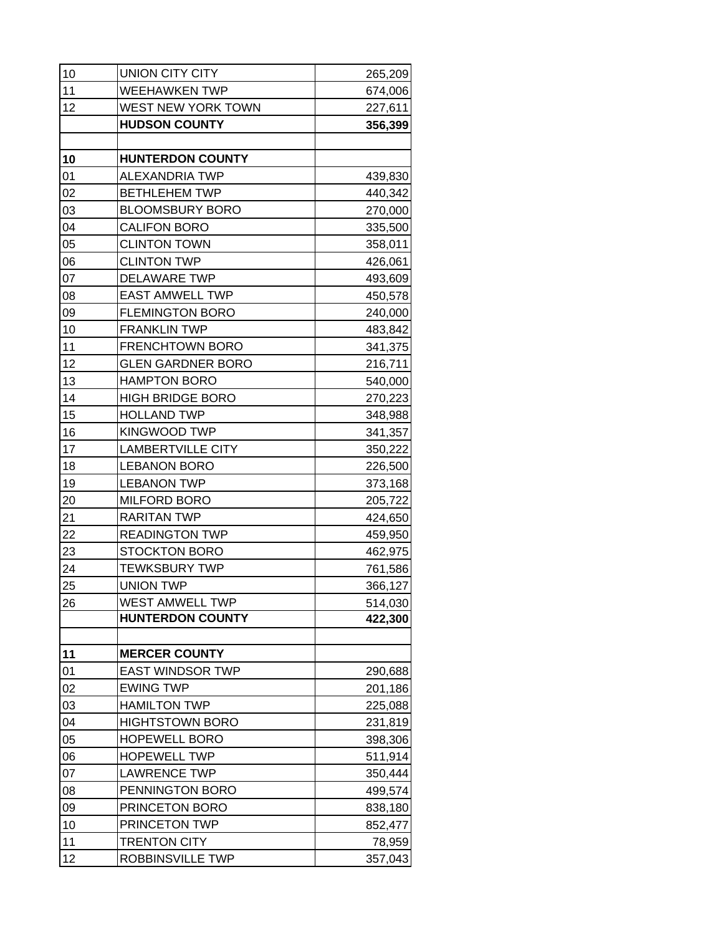| 10 | <b>UNION CITY CITY</b>   | 265,209 |
|----|--------------------------|---------|
| 11 | <b>WEEHAWKEN TWP</b>     | 674,006 |
| 12 | WEST NEW YORK TOWN       | 227,611 |
|    | <b>HUDSON COUNTY</b>     | 356,399 |
|    |                          |         |
| 10 | <b>HUNTERDON COUNTY</b>  |         |
| 01 | <b>ALEXANDRIA TWP</b>    | 439,830 |
| 02 | <b>BETHLEHEM TWP</b>     | 440,342 |
| 03 | <b>BLOOMSBURY BORO</b>   | 270,000 |
| 04 | <b>CALIFON BORO</b>      | 335,500 |
| 05 | <b>CLINTON TOWN</b>      | 358,011 |
| 06 | <b>CLINTON TWP</b>       | 426,061 |
| 07 | <b>DELAWARE TWP</b>      | 493,609 |
| 08 | <b>EAST AMWELL TWP</b>   | 450,578 |
| 09 | <b>FLEMINGTON BORO</b>   | 240,000 |
| 10 | <b>FRANKLIN TWP</b>      | 483,842 |
| 11 | FRENCHTOWN BORO          | 341,375 |
| 12 | <b>GLEN GARDNER BORO</b> | 216,711 |
| 13 | <b>HAMPTON BORO</b>      | 540,000 |
| 14 | <b>HIGH BRIDGE BORO</b>  | 270,223 |
| 15 | <b>HOLLAND TWP</b>       | 348,988 |
| 16 | <b>KINGWOOD TWP</b>      | 341,357 |
| 17 | <b>LAMBERTVILLE CITY</b> | 350,222 |
| 18 | <b>LEBANON BORO</b>      | 226,500 |
| 19 | <b>LEBANON TWP</b>       | 373,168 |
| 20 | <b>MILFORD BORO</b>      | 205,722 |
| 21 | <b>RARITAN TWP</b>       | 424,650 |
| 22 | <b>READINGTON TWP</b>    | 459,950 |
| 23 | <b>STOCKTON BORO</b>     | 462,975 |
| 24 | <b>TEWKSBURY TWP</b>     | 761,586 |
| 25 | <b>UNION TWP</b>         | 366,127 |
| 26 | <b>WEST AMWELL TWP</b>   | 514,030 |
|    | <b>HUNTERDON COUNTY</b>  | 422,300 |
|    |                          |         |
| 11 | <b>MERCER COUNTY</b>     |         |
| 01 | <b>EAST WINDSOR TWP</b>  | 290,688 |
| 02 | <b>EWING TWP</b>         | 201,186 |
| 03 | <b>HAMILTON TWP</b>      | 225,088 |
| 04 | <b>HIGHTSTOWN BORO</b>   | 231,819 |
| 05 | <b>HOPEWELL BORO</b>     | 398,306 |
| 06 | <b>HOPEWELL TWP</b>      | 511,914 |
| 07 | <b>LAWRENCE TWP</b>      | 350,444 |
| 08 | PENNINGTON BORO          | 499,574 |
| 09 | PRINCETON BORO           | 838,180 |
| 10 | PRINCETON TWP            | 852,477 |
| 11 | <b>TRENTON CITY</b>      | 78,959  |
| 12 | ROBBINSVILLE TWP         | 357,043 |
|    |                          |         |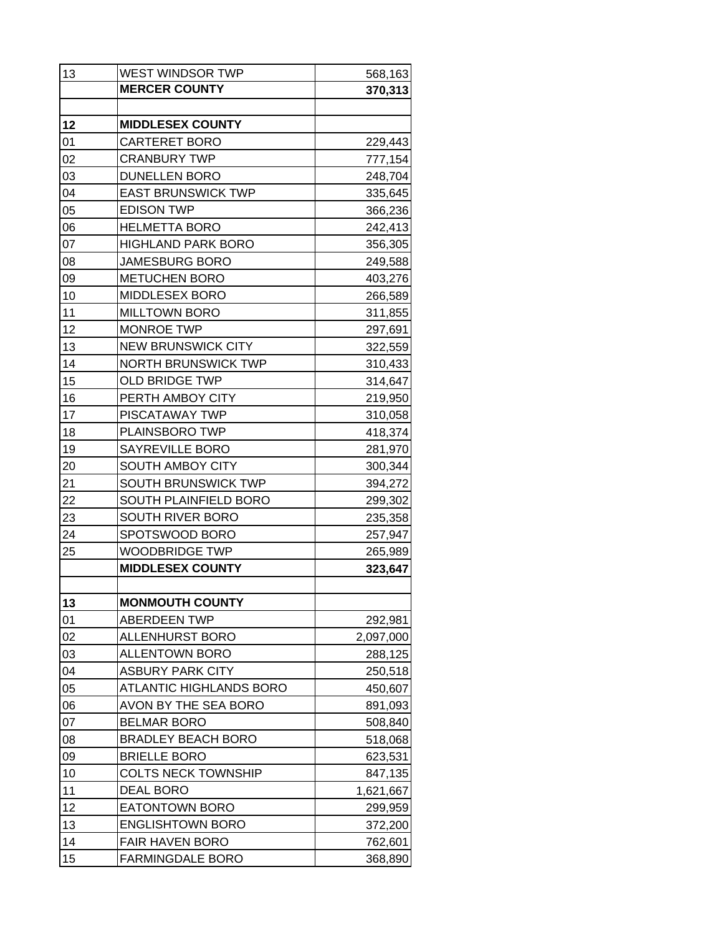| 13 | WEST WINDSOR TWP               | 568,163   |
|----|--------------------------------|-----------|
|    | <b>MERCER COUNTY</b>           | 370,313   |
|    |                                |           |
| 12 | <b>MIDDLESEX COUNTY</b>        |           |
| 01 | <b>CARTERET BORO</b>           | 229,443   |
| 02 | <b>CRANBURY TWP</b>            | 777,154   |
| 03 | <b>DUNELLEN BORO</b>           | 248,704   |
| 04 | <b>EAST BRUNSWICK TWP</b>      | 335,645   |
| 05 | <b>EDISON TWP</b>              | 366,236   |
| 06 | <b>HELMETTA BORO</b>           | 242,413   |
| 07 | <b>HIGHLAND PARK BORO</b>      | 356,305   |
| 08 | <b>JAMESBURG BORO</b>          | 249,588   |
| 09 | <b>METUCHEN BORO</b>           | 403,276   |
| 10 | <b>MIDDLESEX BORO</b>          | 266,589   |
| 11 | <b>MILLTOWN BORO</b>           | 311,855   |
| 12 | <b>MONROE TWP</b>              | 297,691   |
| 13 | <b>NEW BRUNSWICK CITY</b>      | 322,559   |
| 14 | <b>NORTH BRUNSWICK TWP</b>     | 310,433   |
| 15 | <b>OLD BRIDGE TWP</b>          | 314,647   |
| 16 | PERTH AMBOY CITY               | 219,950   |
| 17 | PISCATAWAY TWP                 | 310,058   |
| 18 | PLAINSBORO TWP                 | 418,374   |
| 19 | SAYREVILLE BORO                | 281,970   |
| 20 | SOUTH AMBOY CITY               | 300,344   |
| 21 | <b>SOUTH BRUNSWICK TWP</b>     | 394,272   |
| 22 | <b>SOUTH PLAINFIELD BORO</b>   | 299,302   |
| 23 | SOUTH RIVER BORO               | 235,358   |
| 24 | SPOTSWOOD BORO                 | 257,947   |
| 25 | <b>WOODBRIDGE TWP</b>          | 265,989   |
|    | <b>MIDDLESEX COUNTY</b>        | 323,647   |
|    |                                |           |
| 13 | <b>MONMOUTH COUNTY</b>         |           |
| 01 | <b>ABERDEEN TWP</b>            | 292,981   |
| 02 | <b>ALLENHURST BORO</b>         | 2,097,000 |
| 03 | <b>ALLENTOWN BORO</b>          | 288,125   |
| 04 | <b>ASBURY PARK CITY</b>        | 250,518   |
| 05 | <b>ATLANTIC HIGHLANDS BORO</b> | 450,607   |
| 06 | AVON BY THE SEA BORO           | 891,093   |
| 07 | <b>BELMAR BORO</b>             | 508,840   |
| 08 | <b>BRADLEY BEACH BORO</b>      | 518,068   |
| 09 | <b>BRIELLE BORO</b>            | 623,531   |
| 10 | <b>COLTS NECK TOWNSHIP</b>     | 847,135   |
| 11 | <b>DEAL BORO</b>               | 1,621,667 |
| 12 | <b>EATONTOWN BORO</b>          | 299,959   |
| 13 | <b>ENGLISHTOWN BORO</b>        | 372,200   |
| 14 | <b>FAIR HAVEN BORO</b>         | 762,601   |
| 15 | <b>FARMINGDALE BORO</b>        | 368,890   |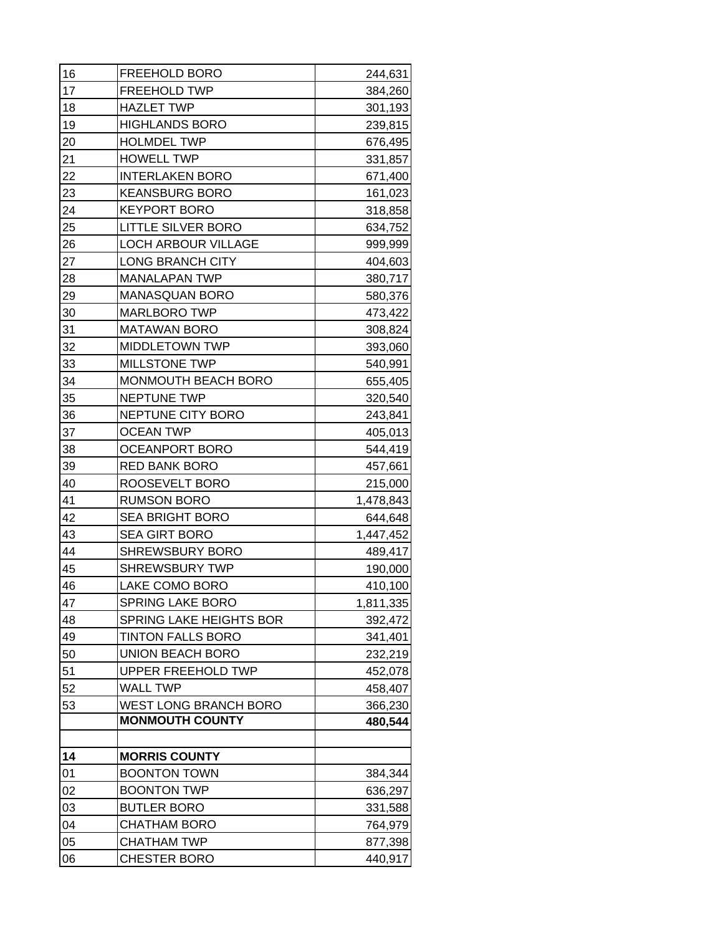| 17<br>FREEHOLD TWP<br>18<br><b>HAZLET TWP</b><br>19<br><b>HIGHLANDS BORO</b><br>20<br><b>HOLMDEL TWP</b><br>21<br><b>HOWELL TWP</b><br>22<br><b>INTERLAKEN BORO</b><br>23<br><b>KEANSBURG BORO</b><br>24<br><b>KEYPORT BORO</b><br>25<br><b>LITTLE SILVER BORO</b><br>26<br><b>LOCH ARBOUR VILLAGE</b><br>27<br><b>LONG BRANCH CITY</b><br>28<br><b>MANALAPAN TWP</b><br>29<br><b>MANASQUAN BORO</b><br>30<br><b>MARLBORO TWP</b><br>31<br><b>MATAWAN BORO</b><br>32<br><b>MIDDLETOWN TWP</b><br>33<br><b>MILLSTONE TWP</b><br>34<br>MONMOUTH BEACH BORO<br>35<br><b>NEPTUNE TWP</b><br>36<br>NEPTUNE CITY BORO<br>37<br><b>OCEAN TWP</b><br>38<br><b>OCEANPORT BORO</b><br>39<br><b>RED BANK BORO</b><br>40<br>ROOSEVELT BORO<br>41<br><b>RUMSON BORO</b><br>42<br><b>SEA BRIGHT BORO</b><br>43<br><b>SEA GIRT BORO</b><br>44<br><b>SHREWSBURY BORO</b><br>45<br><b>SHREWSBURY TWP</b><br>46<br>LAKE COMO BORO<br>47<br><b>SPRING LAKE BORO</b><br>48<br><b>SPRING LAKE HEIGHTS BOR</b><br><b>TINTON FALLS BORO</b><br>49<br>50<br>UNION BEACH BORO<br>51<br><b>UPPER FREEHOLD TWP</b><br>52<br><b>WALL TWP</b><br><b>WEST LONG BRANCH BORO</b><br>53<br><b>MONMOUTH COUNTY</b><br>14<br><b>MORRIS COUNTY</b><br>01<br><b>BOONTON TOWN</b><br><b>BOONTON TWP</b><br>02<br>03<br><b>BUTLER BORO</b><br>04<br><b>CHATHAM BORO</b> | 16 | <b>FREEHOLD BORO</b> | 244,631   |
|----------------------------------------------------------------------------------------------------------------------------------------------------------------------------------------------------------------------------------------------------------------------------------------------------------------------------------------------------------------------------------------------------------------------------------------------------------------------------------------------------------------------------------------------------------------------------------------------------------------------------------------------------------------------------------------------------------------------------------------------------------------------------------------------------------------------------------------------------------------------------------------------------------------------------------------------------------------------------------------------------------------------------------------------------------------------------------------------------------------------------------------------------------------------------------------------------------------------------------------------------------------------------------------------------------------------------------|----|----------------------|-----------|
|                                                                                                                                                                                                                                                                                                                                                                                                                                                                                                                                                                                                                                                                                                                                                                                                                                                                                                                                                                                                                                                                                                                                                                                                                                                                                                                                  |    |                      | 384,260   |
|                                                                                                                                                                                                                                                                                                                                                                                                                                                                                                                                                                                                                                                                                                                                                                                                                                                                                                                                                                                                                                                                                                                                                                                                                                                                                                                                  |    |                      | 301,193   |
|                                                                                                                                                                                                                                                                                                                                                                                                                                                                                                                                                                                                                                                                                                                                                                                                                                                                                                                                                                                                                                                                                                                                                                                                                                                                                                                                  |    |                      | 239,815   |
|                                                                                                                                                                                                                                                                                                                                                                                                                                                                                                                                                                                                                                                                                                                                                                                                                                                                                                                                                                                                                                                                                                                                                                                                                                                                                                                                  |    |                      | 676,495   |
|                                                                                                                                                                                                                                                                                                                                                                                                                                                                                                                                                                                                                                                                                                                                                                                                                                                                                                                                                                                                                                                                                                                                                                                                                                                                                                                                  |    |                      | 331,857   |
|                                                                                                                                                                                                                                                                                                                                                                                                                                                                                                                                                                                                                                                                                                                                                                                                                                                                                                                                                                                                                                                                                                                                                                                                                                                                                                                                  |    |                      | 671,400   |
|                                                                                                                                                                                                                                                                                                                                                                                                                                                                                                                                                                                                                                                                                                                                                                                                                                                                                                                                                                                                                                                                                                                                                                                                                                                                                                                                  |    |                      | 161,023   |
|                                                                                                                                                                                                                                                                                                                                                                                                                                                                                                                                                                                                                                                                                                                                                                                                                                                                                                                                                                                                                                                                                                                                                                                                                                                                                                                                  |    |                      | 318,858   |
|                                                                                                                                                                                                                                                                                                                                                                                                                                                                                                                                                                                                                                                                                                                                                                                                                                                                                                                                                                                                                                                                                                                                                                                                                                                                                                                                  |    |                      | 634,752   |
|                                                                                                                                                                                                                                                                                                                                                                                                                                                                                                                                                                                                                                                                                                                                                                                                                                                                                                                                                                                                                                                                                                                                                                                                                                                                                                                                  |    |                      | 999,999   |
|                                                                                                                                                                                                                                                                                                                                                                                                                                                                                                                                                                                                                                                                                                                                                                                                                                                                                                                                                                                                                                                                                                                                                                                                                                                                                                                                  |    |                      | 404,603   |
|                                                                                                                                                                                                                                                                                                                                                                                                                                                                                                                                                                                                                                                                                                                                                                                                                                                                                                                                                                                                                                                                                                                                                                                                                                                                                                                                  |    |                      | 380,717   |
|                                                                                                                                                                                                                                                                                                                                                                                                                                                                                                                                                                                                                                                                                                                                                                                                                                                                                                                                                                                                                                                                                                                                                                                                                                                                                                                                  |    |                      | 580,376   |
|                                                                                                                                                                                                                                                                                                                                                                                                                                                                                                                                                                                                                                                                                                                                                                                                                                                                                                                                                                                                                                                                                                                                                                                                                                                                                                                                  |    |                      | 473,422   |
|                                                                                                                                                                                                                                                                                                                                                                                                                                                                                                                                                                                                                                                                                                                                                                                                                                                                                                                                                                                                                                                                                                                                                                                                                                                                                                                                  |    |                      | 308,824   |
|                                                                                                                                                                                                                                                                                                                                                                                                                                                                                                                                                                                                                                                                                                                                                                                                                                                                                                                                                                                                                                                                                                                                                                                                                                                                                                                                  |    |                      | 393,060   |
|                                                                                                                                                                                                                                                                                                                                                                                                                                                                                                                                                                                                                                                                                                                                                                                                                                                                                                                                                                                                                                                                                                                                                                                                                                                                                                                                  |    |                      | 540,991   |
|                                                                                                                                                                                                                                                                                                                                                                                                                                                                                                                                                                                                                                                                                                                                                                                                                                                                                                                                                                                                                                                                                                                                                                                                                                                                                                                                  |    |                      | 655,405   |
|                                                                                                                                                                                                                                                                                                                                                                                                                                                                                                                                                                                                                                                                                                                                                                                                                                                                                                                                                                                                                                                                                                                                                                                                                                                                                                                                  |    |                      | 320,540   |
|                                                                                                                                                                                                                                                                                                                                                                                                                                                                                                                                                                                                                                                                                                                                                                                                                                                                                                                                                                                                                                                                                                                                                                                                                                                                                                                                  |    |                      | 243,841   |
|                                                                                                                                                                                                                                                                                                                                                                                                                                                                                                                                                                                                                                                                                                                                                                                                                                                                                                                                                                                                                                                                                                                                                                                                                                                                                                                                  |    |                      | 405,013   |
|                                                                                                                                                                                                                                                                                                                                                                                                                                                                                                                                                                                                                                                                                                                                                                                                                                                                                                                                                                                                                                                                                                                                                                                                                                                                                                                                  |    |                      | 544,419   |
|                                                                                                                                                                                                                                                                                                                                                                                                                                                                                                                                                                                                                                                                                                                                                                                                                                                                                                                                                                                                                                                                                                                                                                                                                                                                                                                                  |    |                      | 457,661   |
|                                                                                                                                                                                                                                                                                                                                                                                                                                                                                                                                                                                                                                                                                                                                                                                                                                                                                                                                                                                                                                                                                                                                                                                                                                                                                                                                  |    |                      | 215,000   |
|                                                                                                                                                                                                                                                                                                                                                                                                                                                                                                                                                                                                                                                                                                                                                                                                                                                                                                                                                                                                                                                                                                                                                                                                                                                                                                                                  |    |                      | 1,478,843 |
|                                                                                                                                                                                                                                                                                                                                                                                                                                                                                                                                                                                                                                                                                                                                                                                                                                                                                                                                                                                                                                                                                                                                                                                                                                                                                                                                  |    |                      | 644,648   |
|                                                                                                                                                                                                                                                                                                                                                                                                                                                                                                                                                                                                                                                                                                                                                                                                                                                                                                                                                                                                                                                                                                                                                                                                                                                                                                                                  |    |                      | 1,447,452 |
|                                                                                                                                                                                                                                                                                                                                                                                                                                                                                                                                                                                                                                                                                                                                                                                                                                                                                                                                                                                                                                                                                                                                                                                                                                                                                                                                  |    |                      | 489,417   |
|                                                                                                                                                                                                                                                                                                                                                                                                                                                                                                                                                                                                                                                                                                                                                                                                                                                                                                                                                                                                                                                                                                                                                                                                                                                                                                                                  |    |                      | 190,000   |
|                                                                                                                                                                                                                                                                                                                                                                                                                                                                                                                                                                                                                                                                                                                                                                                                                                                                                                                                                                                                                                                                                                                                                                                                                                                                                                                                  |    |                      | 410,100   |
|                                                                                                                                                                                                                                                                                                                                                                                                                                                                                                                                                                                                                                                                                                                                                                                                                                                                                                                                                                                                                                                                                                                                                                                                                                                                                                                                  |    |                      | 1,811,335 |
|                                                                                                                                                                                                                                                                                                                                                                                                                                                                                                                                                                                                                                                                                                                                                                                                                                                                                                                                                                                                                                                                                                                                                                                                                                                                                                                                  |    |                      | 392,472   |
|                                                                                                                                                                                                                                                                                                                                                                                                                                                                                                                                                                                                                                                                                                                                                                                                                                                                                                                                                                                                                                                                                                                                                                                                                                                                                                                                  |    |                      | 341,401   |
|                                                                                                                                                                                                                                                                                                                                                                                                                                                                                                                                                                                                                                                                                                                                                                                                                                                                                                                                                                                                                                                                                                                                                                                                                                                                                                                                  |    |                      | 232,219   |
|                                                                                                                                                                                                                                                                                                                                                                                                                                                                                                                                                                                                                                                                                                                                                                                                                                                                                                                                                                                                                                                                                                                                                                                                                                                                                                                                  |    |                      | 452,078   |
|                                                                                                                                                                                                                                                                                                                                                                                                                                                                                                                                                                                                                                                                                                                                                                                                                                                                                                                                                                                                                                                                                                                                                                                                                                                                                                                                  |    |                      | 458,407   |
|                                                                                                                                                                                                                                                                                                                                                                                                                                                                                                                                                                                                                                                                                                                                                                                                                                                                                                                                                                                                                                                                                                                                                                                                                                                                                                                                  |    |                      | 366,230   |
|                                                                                                                                                                                                                                                                                                                                                                                                                                                                                                                                                                                                                                                                                                                                                                                                                                                                                                                                                                                                                                                                                                                                                                                                                                                                                                                                  |    |                      | 480,544   |
|                                                                                                                                                                                                                                                                                                                                                                                                                                                                                                                                                                                                                                                                                                                                                                                                                                                                                                                                                                                                                                                                                                                                                                                                                                                                                                                                  |    |                      |           |
|                                                                                                                                                                                                                                                                                                                                                                                                                                                                                                                                                                                                                                                                                                                                                                                                                                                                                                                                                                                                                                                                                                                                                                                                                                                                                                                                  |    |                      | 384,344   |
|                                                                                                                                                                                                                                                                                                                                                                                                                                                                                                                                                                                                                                                                                                                                                                                                                                                                                                                                                                                                                                                                                                                                                                                                                                                                                                                                  |    |                      | 636,297   |
|                                                                                                                                                                                                                                                                                                                                                                                                                                                                                                                                                                                                                                                                                                                                                                                                                                                                                                                                                                                                                                                                                                                                                                                                                                                                                                                                  |    |                      | 331,588   |
|                                                                                                                                                                                                                                                                                                                                                                                                                                                                                                                                                                                                                                                                                                                                                                                                                                                                                                                                                                                                                                                                                                                                                                                                                                                                                                                                  |    |                      | 764,979   |
|                                                                                                                                                                                                                                                                                                                                                                                                                                                                                                                                                                                                                                                                                                                                                                                                                                                                                                                                                                                                                                                                                                                                                                                                                                                                                                                                  | 05 | <b>CHATHAM TWP</b>   | 877,398   |
| <b>CHESTER BORO</b><br>06                                                                                                                                                                                                                                                                                                                                                                                                                                                                                                                                                                                                                                                                                                                                                                                                                                                                                                                                                                                                                                                                                                                                                                                                                                                                                                        |    |                      | 440,917   |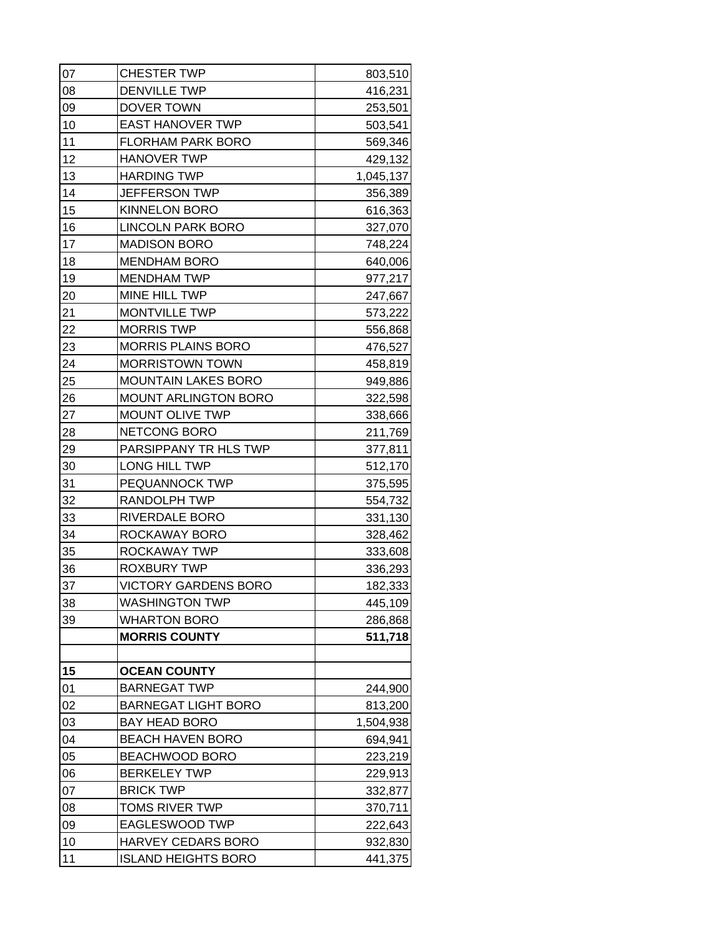| 07 | <b>CHESTER TWP</b>          | 803,510   |
|----|-----------------------------|-----------|
| 08 | <b>DENVILLE TWP</b>         | 416,231   |
| 09 | DOVER TOWN                  | 253,501   |
| 10 | <b>EAST HANOVER TWP</b>     | 503,541   |
| 11 | <b>FLORHAM PARK BORO</b>    | 569,346   |
| 12 | <b>HANOVER TWP</b>          | 429,132   |
| 13 | <b>HARDING TWP</b>          | 1,045,137 |
| 14 | JEFFERSON TWP               | 356,389   |
| 15 | <b>KINNELON BORO</b>        | 616,363   |
| 16 | <b>LINCOLN PARK BORO</b>    | 327,070   |
| 17 | <b>MADISON BORO</b>         | 748,224   |
| 18 | <b>MENDHAM BORO</b>         | 640,006   |
| 19 | <b>MENDHAM TWP</b>          | 977,217   |
| 20 | MINE HILL TWP               | 247,667   |
| 21 | <b>MONTVILLE TWP</b>        | 573,222   |
| 22 | <b>MORRIS TWP</b>           | 556,868   |
| 23 | MORRIS PLAINS BORO          | 476,527   |
| 24 | <b>MORRISTOWN TOWN</b>      | 458,819   |
| 25 | <b>MOUNTAIN LAKES BORO</b>  | 949,886   |
| 26 | <b>MOUNT ARLINGTON BORO</b> | 322,598   |
| 27 | <b>MOUNT OLIVE TWP</b>      | 338,666   |
| 28 | NETCONG BORO                | 211,769   |
| 29 | PARSIPPANY TR HLS TWP       | 377,811   |
| 30 | LONG HILL TWP               | 512,170   |
| 31 | PEQUANNOCK TWP              | 375,595   |
| 32 | <b>RANDOLPH TWP</b>         | 554,732   |
| 33 | RIVERDALE BORO              | 331,130   |
| 34 | ROCKAWAY BORO               | 328,462   |
| 35 | ROCKAWAY TWP                | 333,608   |
| 36 | <b>ROXBURY TWP</b>          | 336,293   |
| 37 | <b>VICTORY GARDENS BORO</b> | 182,333   |
| 38 | <b>WASHINGTON TWP</b>       | 445,109   |
| 39 | <b>WHARTON BORO</b>         | 286,868   |
|    | <b>MORRIS COUNTY</b>        | 511,718   |
|    |                             |           |
| 15 | <b>OCEAN COUNTY</b>         |           |
| 01 | <b>BARNEGAT TWP</b>         | 244,900   |
| 02 | <b>BARNEGAT LIGHT BORO</b>  | 813,200   |
| 03 | <b>BAY HEAD BORO</b>        | 1,504,938 |
| 04 | <b>BEACH HAVEN BORO</b>     | 694,941   |
| 05 | BEACHWOOD BORO              | 223,219   |
| 06 | <b>BERKELEY TWP</b>         | 229,913   |
| 07 | <b>BRICK TWP</b>            | 332,877   |
| 08 | <b>TOMS RIVER TWP</b>       | 370,711   |
| 09 | <b>EAGLESWOOD TWP</b>       | 222,643   |
| 10 | HARVEY CEDARS BORO          | 932,830   |
| 11 | <b>ISLAND HEIGHTS BORO</b>  | 441,375   |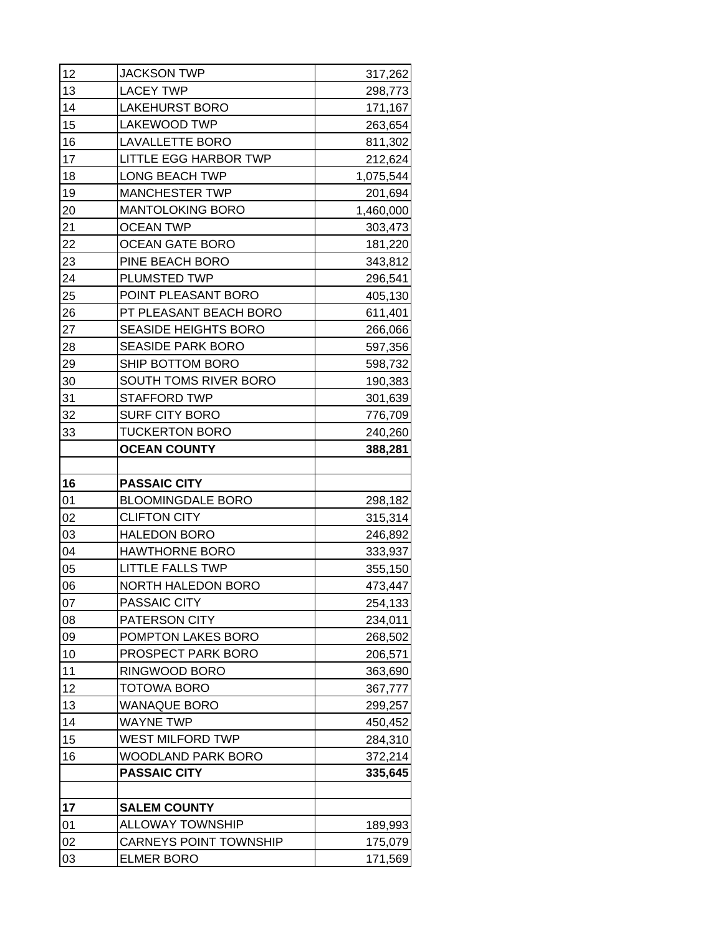| 12 | <b>JACKSON TWP</b>                                 | 317,262   |
|----|----------------------------------------------------|-----------|
| 13 | <b>LACEY TWP</b>                                   | 298,773   |
| 14 | <b>LAKEHURST BORO</b>                              | 171,167   |
| 15 | <b>LAKEWOOD TWP</b>                                | 263,654   |
| 16 | <b>LAVALLETTE BORO</b>                             | 811,302   |
| 17 | <b>LITTLE EGG HARBOR TWP</b>                       | 212,624   |
| 18 | <b>LONG BEACH TWP</b>                              | 1,075,544 |
| 19 | <b>MANCHESTER TWP</b>                              | 201,694   |
| 20 | <b>MANTOLOKING BORO</b>                            | 1,460,000 |
| 21 | <b>OCEAN TWP</b>                                   | 303,473   |
| 22 | <b>OCEAN GATE BORO</b>                             | 181,220   |
| 23 | PINE BEACH BORO                                    | 343,812   |
| 24 | PLUMSTED TWP                                       | 296,541   |
| 25 | POINT PLEASANT BORO                                | 405,130   |
| 26 | PT PLEASANT BEACH BORO                             | 611,401   |
| 27 | <b>SEASIDE HEIGHTS BORO</b>                        | 266,066   |
| 28 | <b>SEASIDE PARK BORO</b>                           | 597,356   |
| 29 | SHIP BOTTOM BORO                                   | 598,732   |
| 30 | SOUTH TOMS RIVER BORO                              | 190,383   |
| 31 | <b>STAFFORD TWP</b>                                | 301,639   |
| 32 | <b>SURF CITY BORO</b>                              | 776,709   |
| 33 | <b>TUCKERTON BORO</b>                              | 240,260   |
|    | <b>OCEAN COUNTY</b>                                | 388,281   |
|    |                                                    |           |
|    |                                                    |           |
| 16 | <b>PASSAIC CITY</b>                                |           |
| 01 | <b>BLOOMINGDALE BORO</b>                           | 298,182   |
| 02 | <b>CLIFTON CITY</b>                                | 315,314   |
| 03 | <b>HALEDON BORO</b>                                | 246,892   |
| 04 | <b>HAWTHORNE BORO</b>                              | 333,937   |
| 05 | <b>LITTLE FALLS TWP</b>                            | 355,150   |
| 06 | <b>NORTH HALEDON BORO</b>                          | 473,447   |
| 07 | PASSAIC CITY                                       | 254,133   |
| 08 | <b>PATERSON CITY</b>                               | 234,011   |
| 09 | POMPTON LAKES BORO                                 | 268,502   |
| 10 | PROSPECT PARK BORO                                 | 206,571   |
| 11 | RINGWOOD BORO                                      | 363,690   |
| 12 | TOTOWA BORO                                        | 367,777   |
| 13 | <b>WANAQUE BORO</b>                                | 299,257   |
| 14 | <b>WAYNE TWP</b>                                   | 450,452   |
| 15 | WEST MILFORD TWP                                   | 284,310   |
| 16 | WOODLAND PARK BORO                                 | 372,214   |
|    | <b>PASSAIC CITY</b>                                | 335,645   |
|    |                                                    |           |
| 17 | <b>SALEM COUNTY</b>                                |           |
| 01 | <b>ALLOWAY TOWNSHIP</b>                            | 189,993   |
| 02 | <b>CARNEYS POINT TOWNSHIP</b><br><b>ELMER BORO</b> | 175,079   |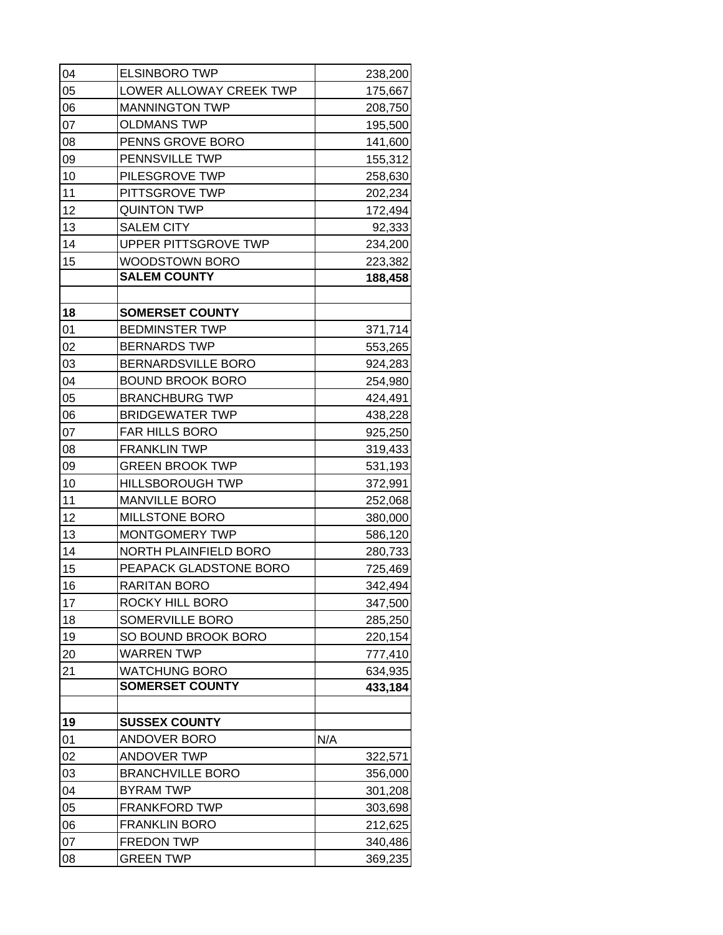| 04 | <b>ELSINBORO TWP</b>         |     | 238,200 |
|----|------------------------------|-----|---------|
| 05 | LOWER ALLOWAY CREEK TWP      |     | 175,667 |
| 06 | <b>MANNINGTON TWP</b>        |     | 208,750 |
| 07 | <b>OLDMANS TWP</b>           |     | 195,500 |
| 08 | PENNS GROVE BORO             |     | 141,600 |
| 09 | PENNSVILLE TWP               |     | 155,312 |
| 10 | PILESGROVE TWP               |     | 258,630 |
| 11 | PITTSGROVE TWP               |     | 202,234 |
| 12 | <b>QUINTON TWP</b>           |     | 172,494 |
| 13 | <b>SALEM CITY</b>            |     | 92,333  |
| 14 | UPPER PITTSGROVE TWP         |     | 234,200 |
| 15 | WOODSTOWN BORO               |     | 223,382 |
|    | <b>SALEM COUNTY</b>          |     | 188,458 |
|    |                              |     |         |
| 18 | <b>SOMERSET COUNTY</b>       |     |         |
| 01 | <b>BEDMINSTER TWP</b>        |     | 371,714 |
| 02 | <b>BERNARDS TWP</b>          |     | 553,265 |
| 03 | BERNARDSVILLE BORO           |     | 924,283 |
| 04 | <b>BOUND BROOK BORO</b>      |     | 254,980 |
| 05 | <b>BRANCHBURG TWP</b>        |     | 424,491 |
| 06 | <b>BRIDGEWATER TWP</b>       |     | 438,228 |
| 07 | <b>FAR HILLS BORO</b>        |     | 925,250 |
| 08 | <b>FRANKLIN TWP</b>          |     | 319,433 |
| 09 | <b>GREEN BROOK TWP</b>       |     | 531,193 |
| 10 | <b>HILLSBOROUGH TWP</b>      |     | 372,991 |
| 11 | <b>MANVILLE BORO</b>         |     | 252,068 |
| 12 | <b>MILLSTONE BORO</b>        |     | 380,000 |
| 13 | MONTGOMERY TWP               |     | 586,120 |
| 14 | <b>NORTH PLAINFIELD BORO</b> |     | 280,733 |
| 15 | PEAPACK GLADSTONE BORO       |     | 725,469 |
| 16 | <b>RARITAN BORO</b>          |     | 342,494 |
| 17 | ROCKY HILL BORO              |     | 347,500 |
| 18 | SOMERVILLE BORO              |     | 285,250 |
| 19 | SO BOUND BROOK BORO          |     | 220,154 |
| 20 | <b>WARREN TWP</b>            |     | 777,410 |
| 21 | <b>WATCHUNG BORO</b>         |     | 634,935 |
|    | <b>SOMERSET COUNTY</b>       |     | 433,184 |
| 19 | <b>SUSSEX COUNTY</b>         |     |         |
| 01 | ANDOVER BORO                 | N/A |         |
| 02 | <b>ANDOVER TWP</b>           |     | 322,571 |
| 03 | <b>BRANCHVILLE BORO</b>      |     | 356,000 |
| 04 | <b>BYRAM TWP</b>             |     | 301,208 |
| 05 | <b>FRANKFORD TWP</b>         |     | 303,698 |
| 06 | <b>FRANKLIN BORO</b>         |     | 212,625 |
| 07 | <b>FREDON TWP</b>            |     | 340,486 |
| 80 | <b>GREEN TWP</b>             |     | 369,235 |
|    |                              |     |         |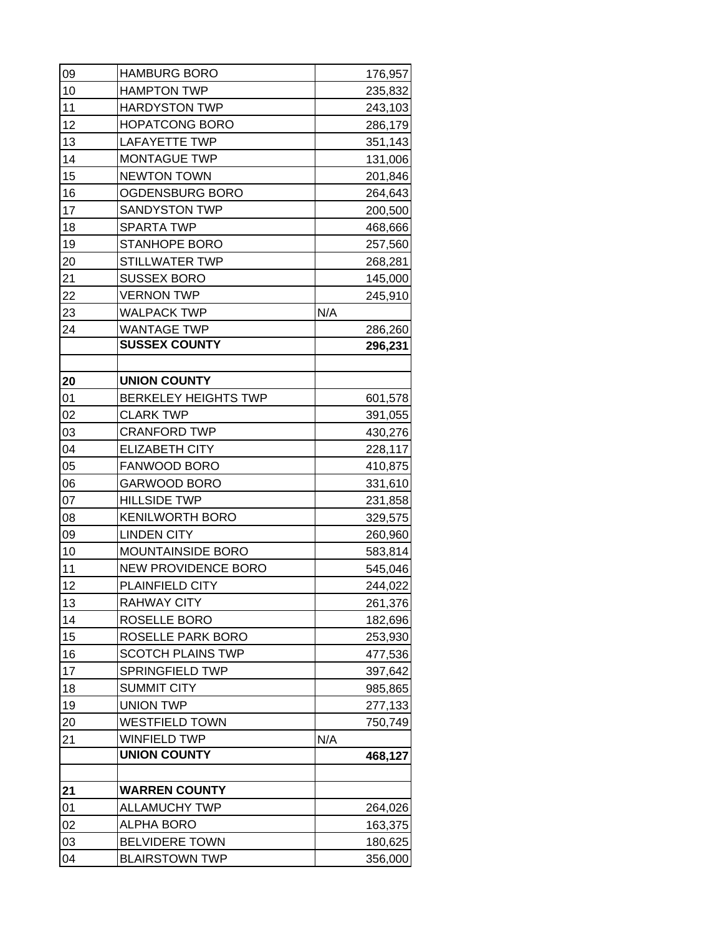| 09 | <b>HAMBURG BORO</b>         |     | 176,957 |
|----|-----------------------------|-----|---------|
| 10 | <b>HAMPTON TWP</b>          |     | 235,832 |
| 11 | <b>HARDYSTON TWP</b>        |     | 243,103 |
| 12 | <b>HOPATCONG BORO</b>       |     | 286,179 |
| 13 | <b>LAFAYETTE TWP</b>        |     | 351,143 |
| 14 | MONTAGUE TWP                |     | 131,006 |
| 15 | <b>NEWTON TOWN</b>          |     | 201,846 |
| 16 | OGDENSBURG BORO             |     | 264,643 |
| 17 | <b>SANDYSTON TWP</b>        |     | 200,500 |
| 18 | <b>SPARTA TWP</b>           |     | 468,666 |
| 19 | <b>STANHOPE BORO</b>        |     | 257,560 |
| 20 | STILLWATER TWP              |     | 268,281 |
| 21 | <b>SUSSEX BORO</b>          |     | 145,000 |
| 22 | <b>VERNON TWP</b>           |     | 245,910 |
| 23 | <b>WALPACK TWP</b>          | N/A |         |
| 24 | <b>WANTAGE TWP</b>          |     | 286,260 |
|    | <b>SUSSEX COUNTY</b>        |     | 296,231 |
|    |                             |     |         |
| 20 | <b>UNION COUNTY</b>         |     |         |
| 01 | <b>BERKELEY HEIGHTS TWP</b> |     | 601,578 |
| 02 | <b>CLARK TWP</b>            |     | 391,055 |
| 03 | <b>CRANFORD TWP</b>         |     | 430,276 |
| 04 | <b>ELIZABETH CITY</b>       |     | 228,117 |
| 05 | FANWOOD BORO                |     | 410,875 |
| 06 | <b>GARWOOD BORO</b>         |     | 331,610 |
| 07 | <b>HILLSIDE TWP</b>         |     | 231,858 |
| 08 | <b>KENILWORTH BORO</b>      |     | 329,575 |
| 09 | <b>LINDEN CITY</b>          |     | 260,960 |
| 10 | <b>MOUNTAINSIDE BORO</b>    |     | 583,814 |
| 11 | NEW PROVIDENCE BORO         |     | 545,046 |
| 12 | PLAINFIELD CITY             |     | 244,022 |
| 13 | <b>RAHWAY CITY</b>          |     | 261,376 |
| 14 | ROSELLE BORO                |     | 182,696 |
| 15 | ROSELLE PARK BORO           |     | 253,930 |
| 16 | <b>SCOTCH PLAINS TWP</b>    |     | 477,536 |
| 17 | <b>SPRINGFIELD TWP</b>      |     | 397,642 |
| 18 | <b>SUMMIT CITY</b>          |     | 985,865 |
| 19 | <b>UNION TWP</b>            |     | 277,133 |
| 20 | <b>WESTFIELD TOWN</b>       |     | 750,749 |
| 21 | <b>WINFIELD TWP</b>         | N/A |         |
|    | <b>UNION COUNTY</b>         |     | 468,127 |
|    |                             |     |         |
| 21 | <b>WARREN COUNTY</b>        |     |         |
| 01 | <b>ALLAMUCHY TWP</b>        |     | 264,026 |
| 02 | <b>ALPHA BORO</b>           |     | 163,375 |
| 03 | <b>BELVIDERE TOWN</b>       |     | 180,625 |
| 04 | <b>BLAIRSTOWN TWP</b>       |     | 356,000 |